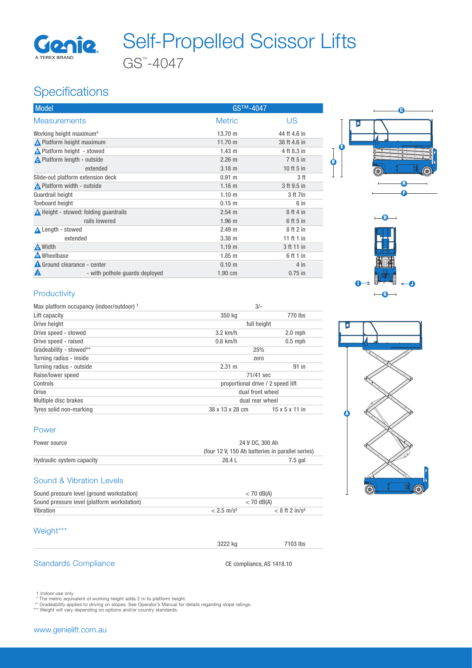

# GS™ -4047 Genie Self-Propelled Scissor Lifts

### **Specifications**

| <b>Model</b>                                    | GS <sup>™-4047</sup> |              |
|-------------------------------------------------|----------------------|--------------|
| <b>Measurements</b>                             | <b>Metric</b>        | US.          |
| Working height maximum*                         | $13.70 \text{ m}$    | 44 ft 4.6 in |
| <b>A</b> Platform height maximum                | $11.70 \text{ m}$    | 38 ft 4.6 in |
| <b>A</b> Platform height - stowed               | $1.43 \text{ m}$     | 4 ft 8.3 in  |
| <b>A</b> Platform length - outside              | 2.26 m               | 7 ft 5 in    |
| extended                                        | $3.18$ m             | 10 ft 5 in   |
| Slide-out platform extension deck               | 0.91 m               | 3 ft         |
| <b>A</b> Platform width - outside               | 1.16 <sub>m</sub>    | 3 ft 9.5 in  |
| Guardrail height                                | 1.10 <sub>m</sub>    | 3 ft 7in     |
| <b>Toeboard height</b>                          | 0.15 m               | 6 in         |
| $\triangle$ Height - stowed: folding quardrails | $2.54 \text{ m}$     | 8 ft 4 in    |
| rails lowered                                   | $1.96$ m             | 6 ft 5 in    |
| <b>A</b> Length - stowed                        | 2.49 <sub>m</sub>    | 8 ft 2 in    |
| extended                                        | $3.38$ m             | 11 ft 1 in   |
| A Width                                         | 1.19 <sub>m</sub>    | 3 ft 11 in   |
| <b>A</b> Wheelbase                              | $1.85$ m             | 6 ft 1 in    |
| Ground clearance - center                       | 0.10 m               | $4$ in       |
| - with pothole guards deployed<br>А             | $1.90 \text{ cm}$    | $0.75$ in    |





#### **Productivity**

| Max platform occupancy (indoor/outdoor) 1 | $3/-$                             |                            |
|-------------------------------------------|-----------------------------------|----------------------------|
| Lift capacity                             | 350 kg                            | 770 lbs                    |
| Drive height                              | full height                       |                            |
| Drive speed - stowed                      | $3.2$ km/h                        | $2.0$ mph                  |
| Drive speed - raised                      | $0.8$ km/h                        | $0.5$ mph                  |
| Gradeability - stowed**                   | 25%                               |                            |
| Turning radius - inside                   | zero                              |                            |
| Turning radius - outside                  | 2.31 m                            | 91 in                      |
| Raise/lower speed                         | 71/41 sec                         |                            |
| Controls                                  | proportional drive / 2 speed lift |                            |
| <b>Drive</b>                              | dual front wheel                  |                            |
| Multiple disc brakes                      | dual rear wheel                   |                            |
| Tyres solid non-marking                   | 38 x 13 x 28 cm                   | $15 \times 5 \times 11$ in |



#### Power

| Power source              | 24 V DC, 300 Ah                                  |         |  |
|---------------------------|--------------------------------------------------|---------|--|
|                           | (four 12 V, 150 Ah batteries in parallel series) |         |  |
| Hydraulic system capacity | 28.4 L                                           | 7.5 gal |  |
|                           |                                                  |         |  |

#### Sound & Vibration Levels

| Sound pressure level (ground workstation)   | $<$ 70 dB(A)             |                              |
|---------------------------------------------|--------------------------|------------------------------|
| Sound pressure level (platform workstation) | $<$ 70 dB(A)             |                              |
| Vibration                                   | $< 2.5$ m/s <sup>2</sup> | $< 8$ ft 2 in/s <sup>2</sup> |

 $3222 \text{ kg}$   $7103 \text{ lbs}$ 

#### Weight\*\*\*

#### Standards Compliance CE compliance, AS 1418.10

- 
- 1 Indoor use only<br>\* The metric equivalent of working height adds 2 m to platform height.<br>\*\* Gradeability applies to driving on slopes. See Operator's Manual for details regarding slope ratings.<br>\*\*\* Weight will vary dependi